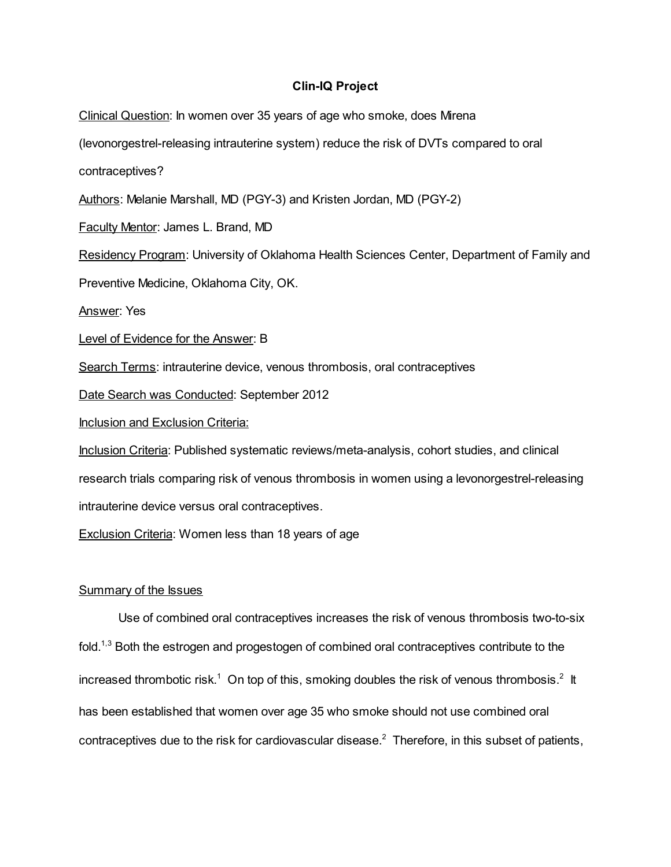## Clin-IQ Project

Clinical Question: In women over 35 years of age who smoke, does Mirena (levonorgestrel-releasing intrauterine system) reduce the risk of DVTs compared to oral contraceptives? Authors: Melanie Marshall, MD (PGY-3) and Kristen Jordan, MD (PGY-2) Faculty Mentor: James L. Brand, MD Residency Program: University of Oklahoma Health Sciences Center, Department of Family and Preventive Medicine, Oklahoma City, OK. Answer: Yes Level of Evidence for the Answer: B Search Terms: intrauterine device, venous thrombosis, oral contraceptives Date Search was Conducted: September 2012 Inclusion and Exclusion Criteria: Inclusion Criteria: Published systematic reviews/meta-analysis, cohort studies, and clinical research trials comparing risk of venous thrombosis in women using a levonorgestrel-releasing intrauterine device versus oral contraceptives. Exclusion Criteria: Women less than 18 years of age

## Summary of the Issues

Use of combined oral contraceptives increases the risk of venous thrombosis two-to-six fold.<sup>1,3</sup> Both the estrogen and progestogen of combined oral contraceptives contribute to the increased thrombotic risk.<sup>1</sup> On top of this, smoking doubles the risk of venous thrombosis.<sup>2</sup> It has been established that women over age 35 who smoke should not use combined oral contraceptives due to the risk for cardiovascular disease. <sup>2</sup> Therefore, in this subset of patients,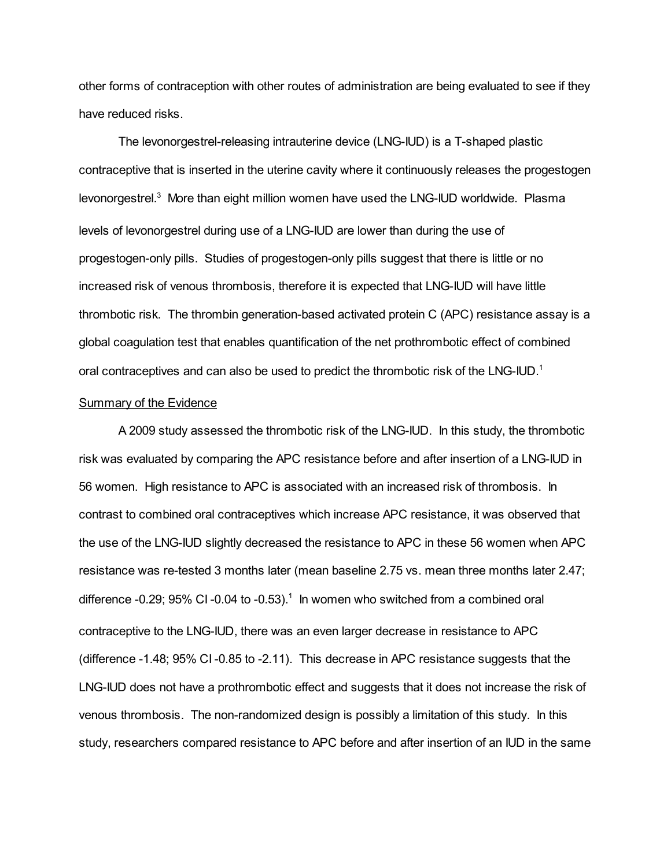other forms of contraception with other routes of administration are being evaluated to see if they have reduced risks.

The levonorgestrel-releasing intrauterine device (LNG-IUD) is a T-shaped plastic contraceptive that is inserted in the uterine cavity where it continuously releases the progestogen levonorgestrel.<sup>3</sup> More than eight million women have used the LNG-IUD worldwide. Plasma levels of levonorgestrel during use of a LNG-IUD are lower than during the use of progestogen-only pills. Studies of progestogen-only pills suggest that there is little or no increased risk of venous thrombosis, therefore it is expected that LNG-IUD will have little thrombotic risk. The thrombin generation-based activated protein C (APC) resistance assay is a global coagulation test that enables quantification of the net prothrombotic effect of combined oral contraceptives and can also be used to predict the thrombotic risk of the LNG-IUD.<sup>1</sup>

## **Summary of the Evidence**

A 2009 study assessed the thrombotic risk of the LNG-IUD. In this study, the thrombotic risk was evaluated by comparing the APC resistance before and after insertion of a LNG-IUD in 56 women. High resistance to APC is associated with an increased risk of thrombosis. In contrast to combined oral contraceptives which increase APC resistance, it was observed that the use of the LNG-IUD slightly decreased the resistance to APC in these 56 women when APC resistance was re-tested 3 months later (mean baseline 2.75 vs. mean three months later 2.47; difference -0.29; 95% CI -0.04 to -0.53).<sup>1</sup> In women who switched from a combined oral contraceptive to the LNG-IUD, there was an even larger decrease in resistance to APC (difference -1.48; 95% CI -0.85 to -2.11). This decrease in APC resistance suggests that the LNG-IUD does not have a prothrombotic effect and suggests that it does not increase the risk of venous thrombosis. The non-randomized design is possibly a limitation of this study. In this study, researchers compared resistance to APC before and after insertion of an IUD in the same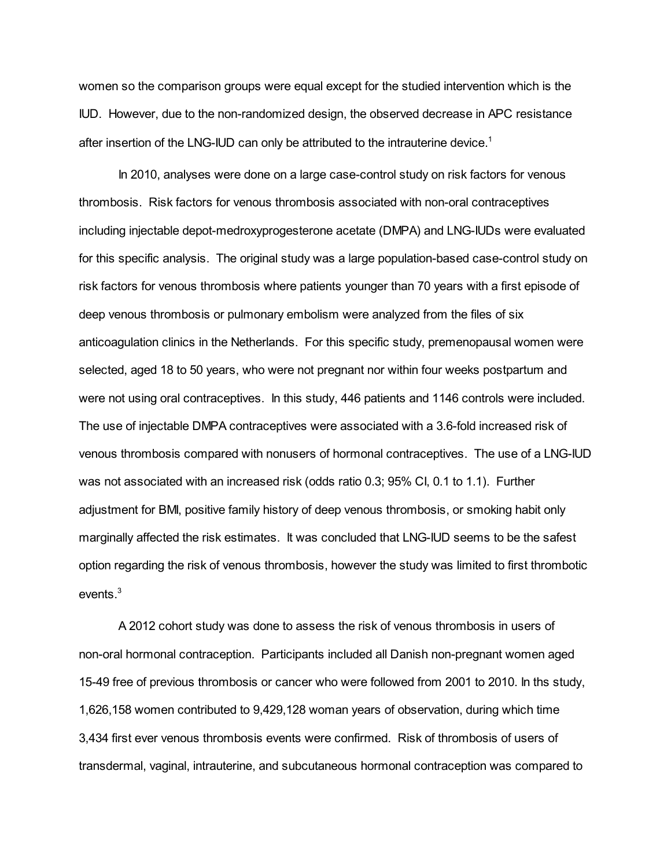women so the comparison groups were equal except for the studied intervention which is the IUD. However, due to the non-randomized design, the observed decrease in APC resistance after insertion of the LNG-IUD can only be attributed to the intrauterine device.<sup>1</sup>

In 2010, analyses were done on a large case-control study on risk factors for venous thrombosis. Risk factors for venous thrombosis associated with non-oral contraceptives including injectable depot-medroxyprogesterone acetate (DMPA) and LNG-IUDs were evaluated for this specific analysis. The original study was a large population-based case-control study on risk factors for venous thrombosis where patients younger than 70 years with a first episode of deep venous thrombosis or pulmonary embolism were analyzed from the files of six anticoagulation clinics in the Netherlands. For this specific study, premenopausal women were selected, aged 18 to 50 years, who were not pregnant nor within four weeks postpartum and were not using oral contraceptives. In this study, 446 patients and 1146 controls were included. The use of injectable DMPA contraceptives were associated with a 3.6-fold increased risk of venous thrombosis compared with nonusers of hormonal contraceptives. The use of a LNG-IUD was not associated with an increased risk (odds ratio 0.3; 95% CI, 0.1 to 1.1). Further adjustment for BMI, positive family history of deep venous thrombosis, or smoking habit only marginally affected the risk estimates. It was concluded that LNG-IUD seems to be the safest option regarding the risk of venous thrombosis, however the study was limited to first thrombotic events. 3

A 2012 cohort study was done to assess the risk of venous thrombosis in users of non-oral hormonal contraception. Participants included all Danish non-pregnant women aged 15-49 free of previous thrombosis or cancer who were followed from 2001 to 2010. In ths study, 1,626,158 women contributed to 9,429,128 woman years of observation, during which time 3,434 first ever venous thrombosis events were confirmed. Risk of thrombosis of users of transdermal, vaginal, intrauterine, and subcutaneous hormonal contraception was compared to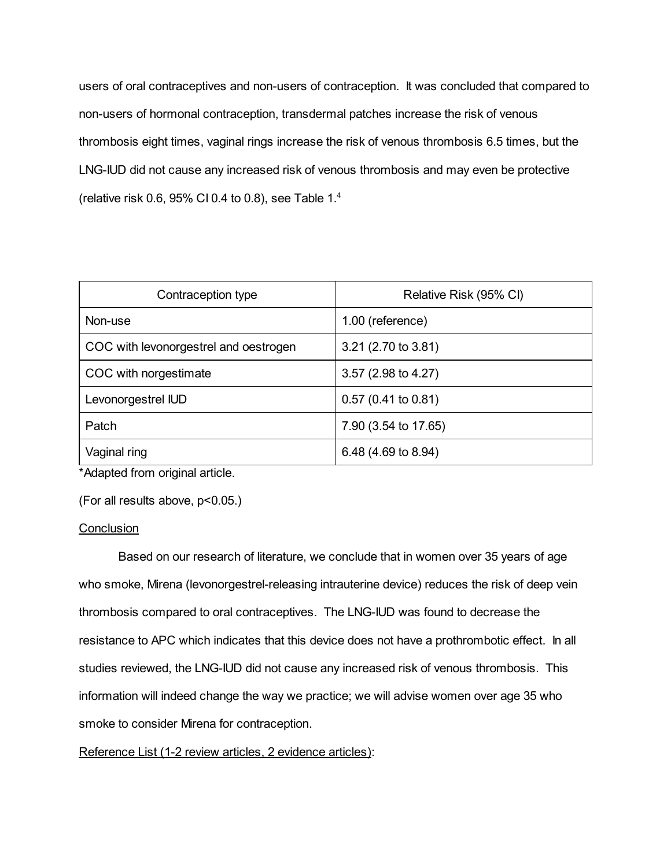users of oral contraceptives and non-users of contraception. It was concluded that compared to non-users of hormonal contraception, transdermal patches increase the risk of venous thrombosis eight times, vaginal rings increase the risk of venous thrombosis 6.5 times, but the LNG-IUD did not cause any increased risk of venous thrombosis and may even be protective (relative risk 0.6, 95% CI 0.4 to 0.8), see Table  $1.^4$ 

| Contraception type                    | Relative Risk (95% CI) |
|---------------------------------------|------------------------|
| Non-use                               | 1.00 (reference)       |
| COC with levonorgestrel and oestrogen | 3.21 (2.70 to 3.81)    |
| COC with norgestimate                 | 3.57 (2.98 to 4.27)    |
| Levonorgestrel IUD                    | $0.57$ (0.41 to 0.81)  |
| Patch                                 | 7.90 (3.54 to 17.65)   |
| Vaginal ring                          | 6.48 (4.69 to 8.94)    |

\*Adapted from original article.

(For all results above, p<0.05.)

## **Conclusion**

Based on our research of literature, we conclude that in women over 35 years of age who smoke, Mirena (levonorgestrel-releasing intrauterine device) reduces the risk of deep vein thrombosis compared to oral contraceptives. The LNG-IUD was found to decrease the resistance to APC which indicates that this device does not have a prothrombotic effect. In all studies reviewed, the LNG-IUD did not cause any increased risk of venous thrombosis. This information will indeed change the way we practice; we will advise women over age 35 who smoke to consider Mirena for contraception.

Reference List (1-2 review articles, 2 evidence articles):